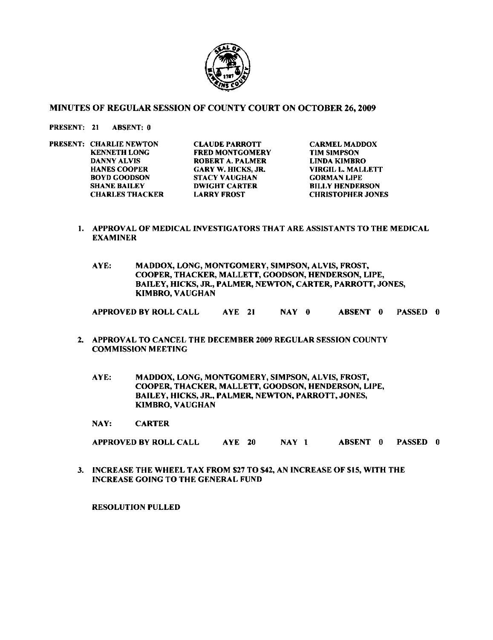

## MINUTES OF REGULAR SESSION OF COUNTY COURT ON OCTOBER 26,2009

## PRESENT: 21 ABSENT: **0**

PRESENT: CHARLIE NEWTON CLAUDE PARROTT CARMEL MADDOX<br>
KENNETH LONG FRED MONTGOMERY TIM SIMPSON KENNETH LONG FRED MONTGOMERY TIM SIMPSON<br>DANNY ALVIS ROBERT A. PALMER LINDA KIMBRO HANES COOPER GARY W. HICKS, **JR.** VIRGIL L. MALLETT BOYD GOODSON STACY VAUGHAN<br>SHANE BAILEY DWIGHT CARTER

DANNY ALVIS **ROBERT A. PALMER LINDA KIMBRO**<br>HANES COOPER GARY W. HICKS. JR. VIRGIL L. MALLETT **BILLY HENDERSON** CHARLES THACKER LARRY FROST CHRISTOPHER JONES

- **I.** APPROVAL OF MEDICAL INVESTIGATORS THAT ARE ASSISTANTS TO THE MEDICAL EXAMINER
	- AYE: MADDOX, LONG, MONTGOMERY, SIMPSON, ALVIS, FROST, COOPER, THACKER, MALLETT, GOODSON, HENDERSON, LIPE, BAILEY, HICKS, **JR.,** PALMEQ NEWTON, CARTER, PARROTT, JONES, KIMBRO, VAUGHAN

APPROVED BY ROLL CALL AYE **21** NAY **0** ABSENT **0** PASSED **0** 

- **2.** APPROVAL TO CANCEL THE DECEMBER **2009** REGULAR SESSION COUNTY COMMISSION MEETING
	- AYE: MADDOX, LONG, MONTGOMERY, SIMPSON, ALVIS, FROST, COOPER, THACKER, MALLETT, GOODSON, HENDERSON, LIPE, BAILEY, HICKS, JR., PALMER, NEWTON, PARROTT, JONES, KIMBRO, VAUGHAN

NAY. CARTER

APPROVED BY ROLL CALL AYE 20 NAY 1 ABSENT **0** PASSED **0** 

**3.** INCREASE THE WHEEL TAX FROM **\$27** TO \$42, **AN** INCREASE OF \$15, WITH THE INCREASE GOING TO THE GENERAL FUND

RESOLUTION PULLED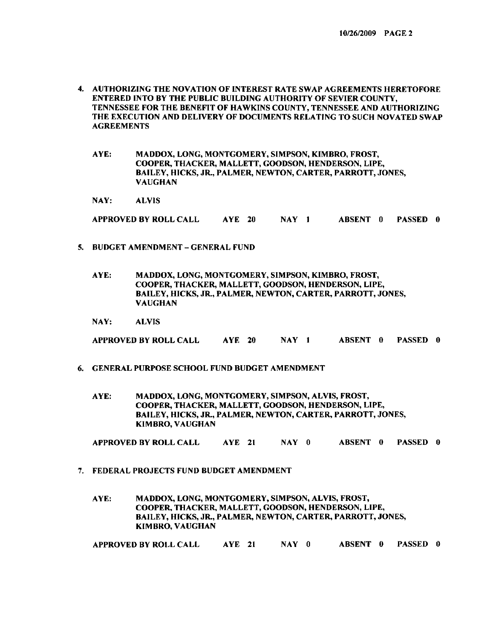- **4.** AUTHORIZING THE NOVATION OF INTEREST RATE SWAP AGREEMENTS HERETOFORE ENTERED INTO BY THE PUBLIC BUILDING AUTHORITY OF SEVIER COUNTY, TENNESSEE FOR THE BENEFIT OF HAWKINS COUNTY, TENNESSEE AND AUTHORIZING THE EXECUTION AND DELIVERY OF DOCUMENTS RELATING TO SUCH NOVATED SWAP AGREEMENTS
	- AYE: MADDOX, LONG, MONTGOMERY, SIMPSON, KIMBRO, FROST, COOPER, THACKER, MALLETT, GOODSON, HENDERSON, LIPE, BAILEY, HICKS, JR., PALMER, NEWTON, CARTER, PARROTT, JONES, VAUGHAN

NAY: ALVlS

APPROVED BY ROLL CALL AYE **20** NAY **I** ABSENT **0** PASSED **0** 

- **5.** BUDGET AMENDMENT GENERAL FUND
	- AYE: MADDOX, LONG, MONTGOMERY, SIMPSON, KIMBRO, FROST, COOPER, THACKER, MALLETT, GOODSON, HENDERSON, LIPE, BAILEY, HICKS, *JR.,* PALMER, NEWTON, CARTER, PARROTT, JONES, VAUGHAN
	- NAY: ALVIS

APPROVED BY ROLL CALL AYE **20** NAY 1 ABSENT **0** PASSED **0** 

- **6.** GENERAL PURPOSE SCHOOL FUND BUDGET AMENDMENT
	- AYE: MADDOX, LONG, MONTGOMERY, SIMPSON, ALVIS, FROST, COOPER, THACKER, MALLETT, GOODSON, HENDERSON, LIPE, BAILEY, HICKS, *JR.,* PALMER, NEWTON, CARTER, PARROTT, JONES, KIMBRO, VAUGHAN

APPROVED BY ROLL CALL AYE **21** NAY **0** ABSENT **0** PASSED **0** 

**7.** FEDERAL PROJECTS FUND BUDGET AMENDMENT

AYE: MADDOX, LONG, MONTGOMERY, SIMPSON, ALVIS, FROST, COOPER, THACKER, MALLETT, GOODSON, HENDERSON, LIPE, BAILEY, HICKS, **JR,** PALMER, NEWTON, CARTER, PARROTT, JONES, KIMBRO, VAUGHAN

APPROVED BY ROLL CALL AYE **21** NAY **0** ABSENT **0** PASSED **0**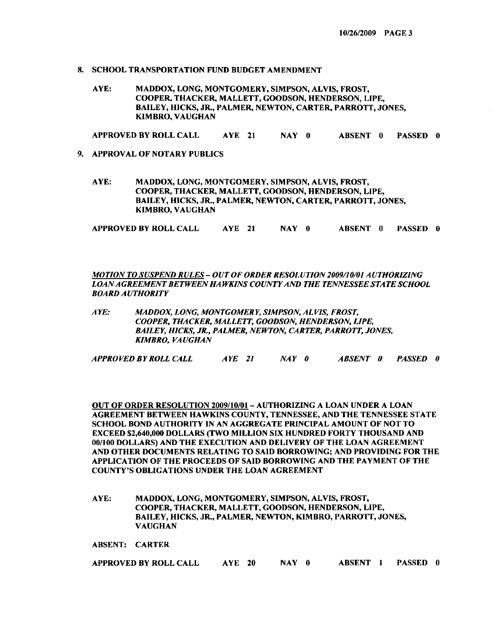- **8.** SCHOOL TRANSPORTATION **FUND** BUDGET AMENDMENT
	- AYE: MADDOX, LONG, MONTGOMERY, SIMPSON, ALVIS, FROST, COOPER, THACKER, MALLETT, COODSON, HENDERSON, I.IPE, BAILEY. HICKS, JR., PALMER, NEWTON, CARTER, PARROTT, JONES, KIMBRO, VAUGHAN

APPROVED BY ROLL CALL AYE **21** NAY **0** ABSENT **0** PASSED **0** 

- **9.** APPROVAL OF NOTARY PUBLICS
	- AYE: MADDOX, LONG, MONTGOMERY, SIMPSON, ALVIS, FROST, COOPER, THACKER, MALLETT, GOODSON, HENDERSON, LIPE, BAILEY, HICKS. JR., PALMER. NEWTON, CARTER, PARROTT, JONES, KIMBRO, VAUGHAN

APPROVED BY ROLL CALL AYE **21** NAY **0** ABSENT **0** PASSED **0** 

*MOTION TOSUSPEND RULES* - *OUT OF ORDER RESOLUTION2009/10/01 AUTHORIZING LOANAGREEMENT BETWEEN HA WKINS COUNTY AND THE TENNESSEE STATE SCHOOL BOARD AUTHORITY* 

*A YE: MADDOX, LONG, MONTGOMERY, SIMPSON, AL VIS, FROST, COOPER, THACKER, MALLETT, GOODSON, HENDERSON, LIPE, BAILEY, HICKS, JR., PALMER, NEWTON, CARTER, PARROTT, JONES, KIMBRO, VAUGHAN* 

*APPROVEDBY ROLL CALL AYE 2I NAY 0 ABSENT 0 PASSED 0* 

OUT OF ORDER RESOLL'TION **2009/10/01-** AL'THORIZIN(; A LOAN UNDER A LOAN AGREEMENT RETWEEN HAWKINS COUNTY. TENNESSEE. AND THE TENNESSEE STATE SCHOOL BOND AUTHORITY IN AN AGGREGATE PRINCIPAL AMOUNT OF NOT TO EXCEED **\$2,640,000** DOLLARS (TWO MILLION SIX HUNDRED FORTY THOUSAND AND **001100** DOLLARS) AND THE EXECUTION AND DELIVERY OF THE LOAN AGREEMENT AND OTHER DOCUMENTS RELATING TO SAID BORROWING; AND PROVIDING FOR THE APPLICATION OF THE PROCEEDS OF SAID BORROWING AND THE PAYMENT OF THE COUNTY'S OBLIGATIONS UNDER THE LOAN AGREEMENT

AYE: MADDOX, LONG, MONTGOMERY, SIMPSON, ALVIS, FROST, COOPER, THACKER, MALLETT, GOODSON, HENDERSON, LIPE, BAILEY, HICKS, **JR.,** PALMER, NEWTON, KIMBRO, PARROTT, JONES, VAUGHAN

ABSENT: CARTER

| APPROVED BY ROLL CALL |  |  | NAY 0 |  |  |  | <b>ABSENT 1 PASSED 0</b> |  |
|-----------------------|--|--|-------|--|--|--|--------------------------|--|
|-----------------------|--|--|-------|--|--|--|--------------------------|--|